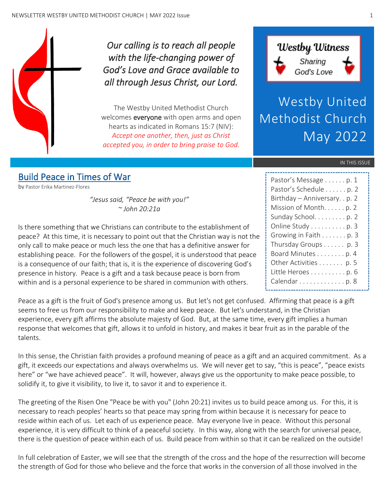

*Our calling is to reach all people with the life-changing power of God's Love and Grace available to all through Jesus Christ, our Lord.* 

The Westby United Methodist Church welcomes **everyone** with open arms and open hearts as indicated in Romans 15:7 (NIV): *Accept one another, then, just as Christ accepted you, in order to bring praise to God.*



Westby United Methodist Church May 2022

#### IN THIS ISSUE

# Build Peace in Times of War

by Pastor Erika Martinez-Flores

*"Jesus said, "Peace be with you!" ~ John 20:21a*

Is there something that we Christians can contribute to the establishment of peace? At this time, it is necessary to point out that the Christian way is not the only call to make peace or much less the one that has a definitive answer for establishing peace. For the followers of the gospel, it is understood that peace is a consequence of our faith; that is, it is the experience of discovering God's presence in history. Peace is a gift and a task because peace is born from within and is a personal experience to be shared in communion with others.

Peace as a gift is the fruit of God's presence among us. But let's not get confused. Affirming that peace is a gift seems to free us from our responsibility to make and keep peace. But let's understand, in the Christian experience, every gift affirms the absolute majesty of God. But, at the same time, every gift implies a human response that welcomes that gift, allows it to unfold in history, and makes it bear fruit as in the parable of the talents.

In this sense, the Christian faith provides a profound meaning of peace as a gift and an acquired commitment. As a gift, it exceeds our expectations and always overwhelms us. We will never get to say, "this is peace", "peace exists here" or "we have achieved peace". It will, however, always give us the opportunity to make peace possible, to solidify it, to give it visibility, to live it, to savor it and to experience it.

The greeting of the Risen One "Peace be with you" (John 20:21) invites us to build peace among us. For this, it is necessary to reach peoples' hearts so that peace may spring from within because it is necessary for peace to reside within each of us. Let each of us experience peace. May everyone live in peace. Without this personal experience, it is very difficult to think of a peaceful society. In this way, along with the search for universal peace, there is the question of peace within each of us. Build peace from within so that it can be realized on the outside!

In full celebration of Easter, we will see that the strength of the cross and the hope of the resurrection will become the strength of God for those who believe and the force that works in the conversion of all those involved in the

| Pastor's Message p. 1          |
|--------------------------------|
| Pastor's Schedule p. 2         |
| Birthday - Anniversary. . p. 2 |
| Mission of Month. p. 2         |
| Sunday School. p. 2            |
| Online Study p. 3              |
| Growing in Faith p. 3          |
| Thursday Groups p. 3           |
| Board Minutes p. 4             |
| Other Activities p. 5          |
| Little Heroes p. 6             |
| Calendar p. 8                  |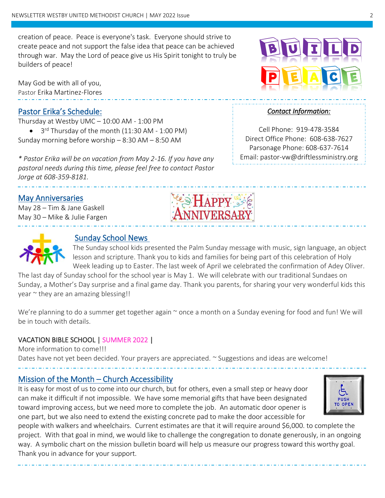creation of peace. Peace is everyone's task. Everyone should strive to create peace and not support the false idea that peace can be achieved through war. May the Lord of peace give us His Spirit tonight to truly be builders of peace!

May God be with all of you, Pastor Erika Martinez-Flores

## Pastor Erika's Schedule:

Thursday at Westby UMC – 10:00 AM - 1:00 PM • 3<sup>rd</sup> Thursday of the month (11:30 AM - 1:00 PM) Sunday morning before worship – 8:30 AM – 8:50 AM

*\* Pastor Erika will be on vacation from May 2-16. If you have any pastoral needs during this time, please feel free to contact Pastor Jorge at 608-359-8181.*

### May Anniversaries

May 28 – Tim & Jane Gaskell May 30 – Mike & Julie Fargen

j



 $\overline{a}$ 

 $\overline{a}$ 

### Sunday School News

The Sunday school kids presented the Palm Sunday message with music, sign language, an object lesson and scripture. Thank you to kids and families for being part of this celebration of Holy Week leading up to Easter. The last week of April we celebrated the confirmation of Adey Oliver.

The last day of Sunday school for the school year is May 1. We will celebrate with our traditional Sundaes on Sunday, a Mother's Day surprise and a final game day. Thank you parents, for sharing your very wonderful kids this year ~ they are an amazing blessing!!

We're planning to do a summer get together again  $\sim$  once a month on a Sunday evening for food and fun! We will be in touch with details.

### VACATION BIBLE SCHOOL | SUMMER 2022 |

More information to come!!! Dates have not yet been decided. Your prayers are appreciated. ~ Suggestions and ideas are welcome! j

## Mission of the Month – Church Accessibility

It is easy for most of us to come into our church, but for others, even a small step or heavy door can make it difficult if not impossible. We have some memorial gifts that have been designated toward improving access, but we need more to complete the job. An automatic door opener is one part, but we also need to extend the existing concrete pad to make the door accessible for



people with walkers and wheelchairs. Current estimates are that it will require around \$6,000. to complete the project. With that goal in mind, we would like to challenge the congregation to donate generously, in an ongoing way. A symbolic chart on the mission bulletin board will help us measure our progress toward this worthy goal. Thank you in advance for your support.



#### *Contact Information:*

Cell Phone: 919-478-3584 Direct Office Phone: 608-638-7627 Parsonage Phone: 608-637-7614 Email: pastor-vw@driftlessministry.org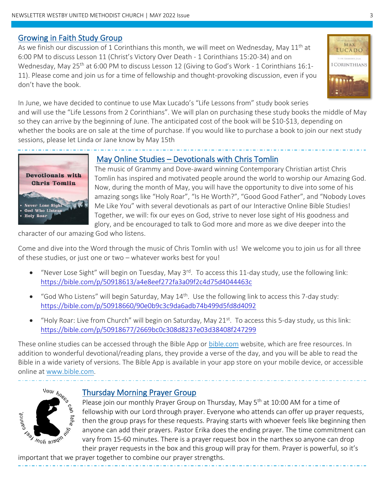### Growing in Faith Study Group

As we finish our discussion of 1 Corinthians this month, we will meet on Wednesday, May  $11<sup>th</sup>$  at 6:00 PM to discuss Lesson 11 (Christ's Victory Over Death - 1 Corinthians 15:20-34) and on Wednesday, May 25<sup>th</sup> at 6:00 PM to discuss Lesson 12 (Giving to God's Work - 1 Corinthians 16:1-11). Please come and join us for a time of fellowship and thought-provoking discussion, even if you don't have the book.



In June, we have decided to continue to use Max Lucado's "Life Lessons from" study book series and will use the "Life Lessons from 2 Corinthians". We will plan on purchasing these study books the middle of May so they can arrive by the beginning of June. The anticipated cost of the book will be \$10-\$13, depending on whether the books are on sale at the time of purchase. If you would like to purchase a book to join our next study sessions, please let Linda or Jane know by May 15th



### May Online Studies – Devotionals with Chris Tomlin

The music of Grammy and Dove-award winning Contemporary Christian artist Chris Tomlin has inspired and motivated people around the world to worship our Amazing God. Now, during the month of May, you will have the opportunity to dive into some of his amazing songs like "Holy Roar", "Is He Worth?", "Good Good Father", and "Nobody Loves Me Like You" with several devotionals as part of our Interactive Online Bible Studies! Together, we will: fix our eyes on God, strive to never lose sight of His goodness and glory, and be encouraged to talk to God more and more as we dive deeper into the

character of our amazing God who listens.

Come and dive into the Word through the music of Chris Tomlin with us! We welcome you to join us for all three of these studies, or just one or two – whatever works best for you!

- "Never Lose Sight" will begin on Tuesday, May 3<sup>rd</sup>. To access this 11-day study, use the following link: <https://bible.com/p/50918613/a4e8eef272fa3a09f2c4d75d4044463c>
- "God Who Listens" will begin Saturday, May  $14<sup>th</sup>$ . Use the following link to access this 7-day study: <https://bible.com/p/50918660/90e0b9c3c9da6adb74b499d5fd8d4092>
- "Holy Roar: Live from Church" will begin on Saturday, May 21<sup>st</sup>. To access this 5-day study, us this link: <https://bible.com/p/50918677/2669bc0c308d8237e03d38408f247299>

These online studies can be accessed through the Bible App or [bible.com](http://www.bible.com/) website, which are free resources. In addition to wonderful devotional/reading plans, they provide a verse of the day, and you will be able to read the Bible in a wide variety of versions. The Bible App is available in your app store on your mobile device, or accessible online at [www.bible.com.](file:///C:/Users/Paul/Documents/Linda/Church%20Newsletter/Oct2021/www.bible.com)



### Thursday Morning Prayer Group

Please join our monthly Prayer Group on Thursday, May 5<sup>th</sup> at 10:00 AM for a time of fellowship with our Lord through prayer. Everyone who attends can offer up prayer requests, then the group prays for these requests. Praying starts with whoever feels like beginning then anyone can add their prayers. Pastor Erika does the ending prayer. The time commitment can vary from 15-60 minutes. There is a prayer request box in the narthex so anyone can drop their prayer requests in the box and this group will pray for them. Prayer is powerful, so it's

important that we prayer together to combine our prayer strengths.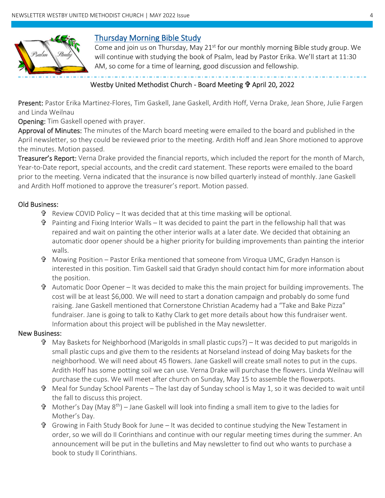

## Thursday Morning Bible Study

Come and join us on Thursday, May  $21^{st}$  for our monthly morning Bible study group. We will continue with studying the book of Psalm, lead by Pastor Erika. We'll start at 11:30 AM, so come for a time of learning, good discussion and fellowship.

### Westby United Methodist Church - Board Meeting *I*P April 20, 2022

Present: Pastor Erika Martinez-Flores, Tim Gaskell, Jane Gaskell, Ardith Hoff, Verna Drake, Jean Shore, Julie Fargen and Linda Weilnau

Opening: Tim Gaskell opened with prayer.

Approval of Minutes: The minutes of the March board meeting were emailed to the board and published in the April newsletter, so they could be reviewed prior to the meeting. Ardith Hoff and Jean Shore motioned to approve the minutes. Motion passed.

Treasurer's Report: Verna Drake provided the financial reports, which included the report for the month of March, Year-to-Date report, special accounts, and the credit card statement. These reports were emailed to the board prior to the meeting. Verna indicated that the insurance is now billed quarterly instead of monthly. Jane Gaskell and Ardith Hoff motioned to approve the treasurer's report. Motion passed.

#### Old Business:

- $\mathbf{\hat{F}}$  Review COVID Policy It was decided that at this time masking will be optional.
- $\mathbf{\hat{v}}$  Painting and Fixing Interior Walls It was decided to paint the part in the fellowship hall that was repaired and wait on painting the other interior walls at a later date. We decided that obtaining an automatic door opener should be a higher priority for building improvements than painting the interior walls.
- Mowing Position Pastor Erika mentioned that someone from Viroqua UMC, Gradyn Hanson is interested in this position. Tim Gaskell said that Gradyn should contact him for more information about the position.
- $\mathbf{\hat{v}}$  Automatic Door Opener It was decided to make this the main project for building improvements. The cost will be at least \$6,000. We will need to start a donation campaign and probably do some fund raising. Jane Gaskell mentioned that Cornerstone Christian Academy had a "Take and Bake Pizza" fundraiser. Jane is going to talk to Kathy Clark to get more details about how this fundraiser went. Information about this project will be published in the May newsletter.

#### New Business:

- May Baskets for Neighborhood (Marigolds in small plastic cups?) It was decided to put marigolds in small plastic cups and give them to the residents at Norseland instead of doing May baskets for the neighborhood. We will need about 45 flowers. Jane Gaskell will create small notes to put in the cups. Ardith Hoff has some potting soil we can use. Verna Drake will purchase the flowers. Linda Weilnau will purchase the cups. We will meet after church on Sunday, May 15 to assemble the flowerpots.
- $\mathbf{\hat{v}}$  Meal for Sunday School Parents The last day of Sunday school is May 1, so it was decided to wait until the fall to discuss this project.
- $\mathbf{\hat{v}}$  Mother's Day (May 8<sup>th</sup>) Jane Gaskell will look into finding a small item to give to the ladies for Mother's Day.
- $\mathbf{\hat{F}}$  Growing in Faith Study Book for June It was decided to continue studying the New Testament in order, so we will do II Corinthians and continue with our regular meeting times during the summer. An announcement will be put in the bulletins and May newsletter to find out who wants to purchase a book to study II Corinthians.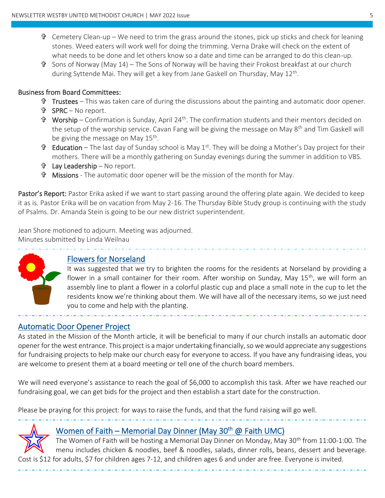- $\mathbf{\hat{v}}$  Cemetery Clean-up We need to trim the grass around the stones, pick up sticks and check for leaning stones. Weed eaters will work well for doing the trimming. Verna Drake will check on the extent of what needs to be done and let others know so a date and time can be arranged to do this clean-up.
- $\mathbf{\hat{T}}$  Sons of Norway (May 14) The Sons of Norway will be having their Frokost breakfast at our church during Syttende Mai. They will get a key from Jane Gaskell on Thursday, May 12<sup>th</sup>.

#### Business from Board Committees:

- $\mathbf{\hat{v}}$  Trustees This was taken care of during the discussions about the painting and automatic door opener.
- SPRC No report.
- $\mathbf{\hat{T}}$  Worship Confirmation is Sunday, April 24<sup>th</sup>. The confirmation students and their mentors decided on the setup of the worship service. Cavan Fang will be giving the message on May  $8<sup>th</sup>$  and Tim Gaskell will be giving the message on May 15<sup>th</sup>.
- **T** Education The last day of Sunday school is May 1<sup>st</sup>. They will be doing a Mother's Day project for their mothers. There will be a monthly gathering on Sunday evenings during the summer in addition to VBS.
- Lay Leadership No report.
- Missions The automatic door opener will be the mission of the month for May.

Pastor's Report: Pastor Erika asked if we want to start passing around the offering plate again. We decided to keep it as is. Pastor Erika will be on vacation from May 2-16. The Thursday Bible Study group is continuing with the study of Psalms. Dr. Amanda Stein is going to be our new district superintendent.

Jean Shore motioned to adjourn. Meeting was adjourned. Minutes submitted by Linda Weilnau



 $\overline{a}$ 

## Flowers for Norseland

It was suggested that we try to brighten the rooms for the residents at Norseland by providing a flower in a small container for their room. After worship on Sunday, May 15<sup>th</sup>, we will form an assembly line to plant a flower in a colorful plastic cup and place a small note in the cup to let the residents know we're thinking about them. We will have all of the necessary items, so we just need you to come and help with the planting.

## Automatic Door Opener Project

As stated in the Mission of the Month article, it will be beneficial to many if our church installs an automatic door opener for the west entrance. This project is a major undertaking financially, so we would appreciate any suggestions for fundraising projects to help make our church easy for everyone to access. If you have any fundraising ideas, you are welcome to present them at a board meeting or tell one of the church board members.

We will need everyone's assistance to reach the goal of \$6,000 to accomplish this task. After we have reached our fundraising goal, we can get bids for the project and then establish a start date for the construction.

Please be praying for this project: for ways to raise the funds, and that the fund raising will go well.



 $\overline{a}$ 

j

# Women of Faith – Memorial Day Dinner (May 30<sup>th</sup> @ Faith UMC)

The Women of Faith will be hosting a Memorial Day Dinner on Monday, May 30<sup>th</sup> from 11:00-1:00. The menu includes chicken & noodles, beef & noodles, salads, dinner rolls, beans, dessert and beverage. Cost is \$12 for adults, \$7 for children ages 7-12, and children ages 6 and under are free. Everyone is invited.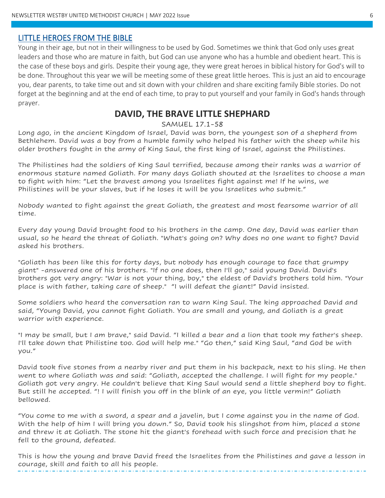#### LITTLE HEROES FROM THE BIBLE

Young in their age, but not in their willingness to be used by God. Sometimes we think that God only uses great leaders and those who are mature in faith, but God can use anyone who has a humble and obedient heart. This is the case of these boys and girls. Despite their young age, they were great heroes in biblical history for God's will to be done. Throughout this year we will be meeting some of these great little heroes. This is just an aid to encourage you, dear parents, to take time out and sit down with your children and share exciting family Bible stories. Do not forget at the beginning and at the end of each time, to pray to put yourself and your family in God's hands through prayer.

### **DAVID, THE BRAVE LITTLE SHEPHARD**

#### SAMUEL 17.1-58

Long ago, in the ancient Kingdom of Israel, David was born, the youngest son of a shepherd from Bethlehem. David was a boy from a humble family who helped his father with the sheep while his older brothers fought in the army of King Saul, the first king of Israel, against the Philistines.

The Philistines had the soldiers of King Saul terrified, because among their ranks was a warrior of enormous stature named Goliath. For many days Goliath shouted at the Israelites to choose a man to fight with him: "Let the bravest among you Israelites fight against me! If he wins, we Philistines will be your slaves, but if he loses it will be you Israelites who submit."

Nobody wanted to fight against the great Goliath, the greatest and most fearsome warrior of all time.

Every day young David brought food to his brothers in the camp. One day, David was earlier than usual, so he heard the threat of Goliath. "What's going on? Why does no one want to fight? David asked his brothers.

"Goliath has been like this for forty days, but nobody has enough courage to face that grumpy giant" -answered one of his brothers. "If no one does, then I'll go," said young David. David's brothers got very angry: "War is not your thing, boy," the eldest of David's brothers told him. "Your place is with father, taking care of sheep." "I will defeat the giant!" David insisted.

Some soldiers who heard the conversation ran to warn King Saul. The king approached David and said, "Young David, you cannot fight Goliath. You are small and young, and Goliath is a great warrior with experience.

"I may be small, but I am brave," said David. "I killed a bear and a lion that took my father's sheep. I'll take down that Philistine too. God will help me." "Go then," said King Saul, "and God be with you."

David took five stones from a nearby river and put them in his backpack, next to his sling. He then went to where Goliath was and said: "Goliath, accepted the challenge. I will fight for my people." Goliath got very angry. He couldn't believe that King Saul would send a little shepherd boy to fight. But still he accepted. "! I will finish you off in the blink of an eye, you little vermin!" Goliath bellowed.

"You come to me with a sword, a spear and a javelin, but I come against you in the name of God. With the help of him I will bring you down." So, David took his slingshot from him, placed a stone and threw it at Goliath. The stone hit the giant's forehead with such force and precision that he fell to the ground, defeated.

This is how the young and brave David freed the Israelites from the Philistines and gave a lesson in courage, skill and faith to all his people.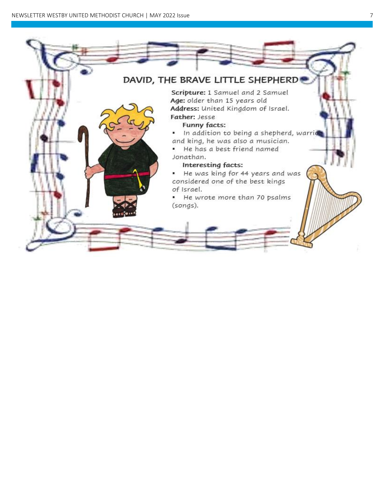